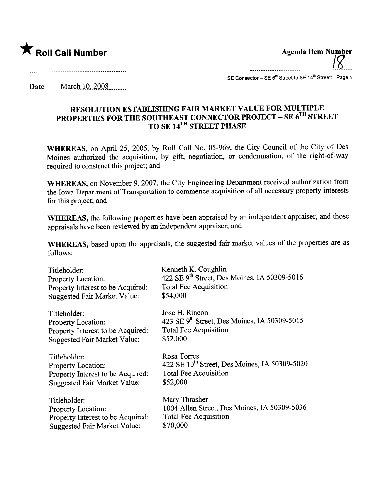

Agenda Item Number ...\_\_......-\_...\_....................................................................... <u>i 8</u>

.....................................

SE Connector - SE 6<sup>th</sup> Street to SE 14<sup>th</sup> Street: Page 1

Date March 10, 2008

## RESOLUTION ESTABLISHING FAIR MARKET VALUE FOR MULTIPLE PROPERTIES FOR THE SOUTHEAST CONNECTOR PROJECT – SE 6^^ STREET TO SE 14<sup>1n</sup> STREET PHASE

WHEREAS, on April 25, 2005, by Roll Call No. 05-969, the City Council of the City of Des Moines authorized the acquisition, by gift, negotiation, or condemnation, of the right-of-way required to construct this project; and

WHEREAS, on November 9, 2007, the City Engineering Department received authorization from the Iowa Department of Transportation to commence acquisition of all necessary property interests for this project; and

WHEREAS, the following properties have been appraised by an independent appraiser, and those appraisals have been reviewed by an independent appraiser; and

WHEREAS, based upon the appraisals, the suggested fair market values of the properties are as follows:

| Titleholder:                        | Kenneth K. Coughlin                                       |
|-------------------------------------|-----------------------------------------------------------|
| Property Location:                  | 422 SE 9 <sup>th</sup> Street, Des Moines, IA 50309-5016  |
| Property Interest to be Acquired:   | <b>Total Fee Acquisition</b>                              |
| <b>Suggested Fair Market Value:</b> | \$54,000                                                  |
| Titleholder:                        | Jose H. Rincon                                            |
| Property Location:                  | 423 SE $9^{th}$ Street, Des Moines, IA 50309-5015         |
| Property Interest to be Acquired:   | <b>Total Fee Acquisition</b>                              |
| <b>Suggested Fair Market Value:</b> | \$52,000                                                  |
| Titleholder:                        | Rosa Torres                                               |
| <b>Property Location:</b>           | 422 SE 10 <sup>th</sup> Street, Des Moines, IA 50309-5020 |
| Property Interest to be Acquired:   | <b>Total Fee Acquisition</b>                              |
| <b>Suggested Fair Market Value:</b> | \$52,000                                                  |
| Titleholder:                        | Mary Thrasher                                             |
| <b>Property Location:</b>           | 1004 Allen Street, Des Moines, IA 50309-5036              |
| Property Interest to be Acquired:   | <b>Total Fee Acquisition</b>                              |
| <b>Suggested Fair Market Value:</b> | \$70,000                                                  |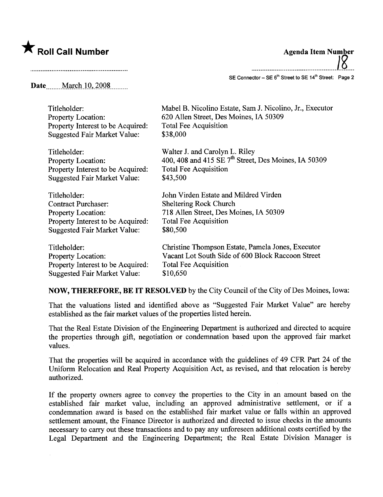## $\bigstar$  Roll Call Number

| <b>Agenda Item Number</b>                                                      |  |
|--------------------------------------------------------------------------------|--|
| SE Connector - SE 6 <sup>th</sup> Street to SE 14 <sup>th</sup> Street: Page 2 |  |

Date **March 10, 2008** 

| Titleholder:                        | Mabel B. Nicolino Estate, Sam J. Nicolino, Jr., Executor         |
|-------------------------------------|------------------------------------------------------------------|
| Property Location:                  | 620 Allen Street, Des Moines, IA 50309                           |
| Property Interest to be Acquired:   | <b>Total Fee Acquisition</b>                                     |
| <b>Suggested Fair Market Value:</b> | \$38,000                                                         |
| Titleholder:                        | Walter J. and Carolyn L. Riley                                   |
| <b>Property Location:</b>           | 400, 408 and 415 SE 7 <sup>th</sup> Street, Des Moines, IA 50309 |
| Property Interest to be Acquired:   | <b>Total Fee Acquisition</b>                                     |
| <b>Suggested Fair Market Value:</b> | \$43,500                                                         |
| Titleholder:                        | John Virden Estate and Mildred Virden                            |
| <b>Contract Purchaser:</b>          | <b>Sheltering Rock Church</b>                                    |
| Property Location:                  | 718 Allen Street, Des Moines, IA 50309                           |
| Property Interest to be Acquired:   | <b>Total Fee Acquisition</b>                                     |
| <b>Suggested Fair Market Value:</b> | \$80,500                                                         |
| Titleholder:                        | Christine Thompson Estate, Pamela Jones, Executor                |
| <b>Property Location:</b>           | Vacant Lot South Side of 600 Block Raccoon Street                |
| Property Interest to be Acquired:   | Total Fee Acquisition                                            |
| <b>Suggested Fair Market Value:</b> | \$10,650                                                         |

NOW, THEREFORE, BE IT RESOLVED by the City Council of the City of Des Moines, Iowa:

That the valuations listed and identified above as "Suggested Fair Market Value" are hereby established as the fair market values of the properties listed herein.

That the Real Estate Division of the Engineering Deparment is authorized and directed to acquire the properties through gift, negotiation or condemnation based upon the approved fair market values.

That the properties will be acquired in accordance with the guidelines of 49 CFR Part 24 of the Uniform Relocation and Real Property Acquisition Act, as revised, and that relocation is hereby authorized.

If the property owners agree to convey the properties to the City in an amount based on the established fair market value, including an approved administrative settlement, or if a condemnation award is based on the established fair market value or falls within an approved settlement amount, the Finance Director is authorized and directed to issue checks in the amounts necessary to carry out these transactions and to pay any unforeseen additional costs certified by the Legal Department and the Engineering Deparment; the Real Estate Division Manager is